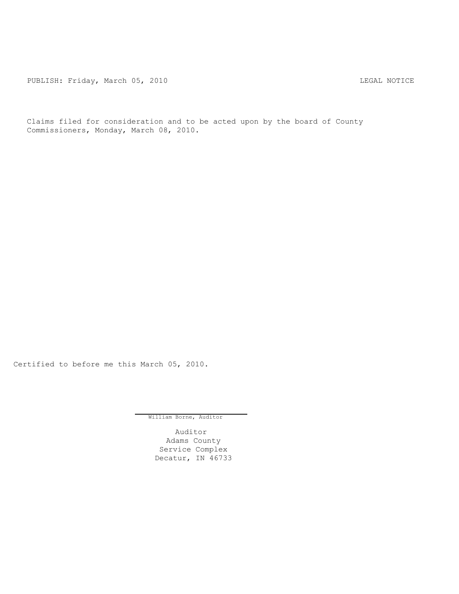PUBLISH: Friday, March 05, 2010 CHA CHANGE CONTROLLY MOTICE

Claims filed for consideration and to be acted upon by the board of County Commissioners, Monday, March 08, 2010.

Certified to before me this March 05, 2010.

William Borne, Auditor

Auditor Adams County Service Complex Decatur, IN 46733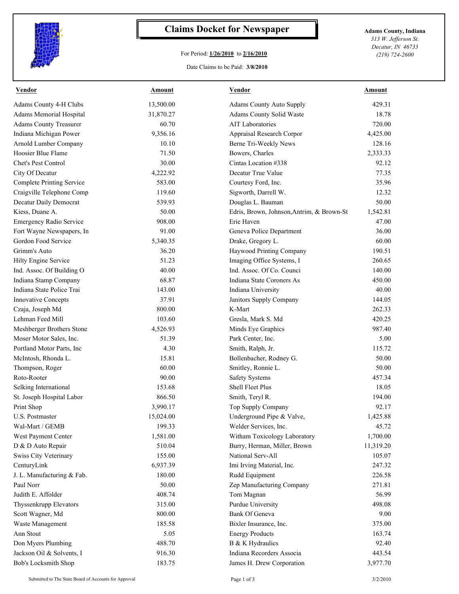

## **Claims Docket for Newspaper Adams County, Indiana**

## For Period: **1/26/2010** to **2/16/2010**

*313 W. Jefferson St. Decatur, IN 46733 (219) 724-2600*

## Date Claims to be Paid: **3/8/2010**

| <b>Vendor</b>                                   | Amount    | <b>Vendor</b>                             | Amount    |
|-------------------------------------------------|-----------|-------------------------------------------|-----------|
| Adams County 4-H Clubs                          | 13,500.00 | <b>Adams County Auto Supply</b>           | 429.31    |
| Adams Memorial Hospital                         | 31,870.27 | Adams County Solid Waste                  | 18.78     |
| <b>Adams County Treasurer</b>                   | 60.70     | <b>AIT Laboratories</b>                   | 720.00    |
| Indiana Michigan Power                          | 9,356.16  | Appraisal Research Corpor                 | 4,425.00  |
| Arnold Lumber Company                           | 10.10     | Berne Tri-Weekly News                     | 128.16    |
| Hoosier Blue Flame                              | 71.50     | Bowers, Charles                           | 2,333.33  |
| Chet's Pest Control                             | 30.00     | Cintas Location #338                      | 92.12     |
| City Of Decatur                                 | 4,222.92  | Decatur True Value                        | 77.35     |
| <b>Complete Printing Service</b>                | 583.00    | Courtesy Ford, Inc.                       | 35.96     |
| Craigville Telephone Comp                       | 119.60    | Sigworth, Darrell W.                      | 12.32     |
| Decatur Daily Democrat                          | 539.93    | Douglas L. Bauman                         | 50.00     |
| Kiess, Duane A.                                 | 50.00     | Edris, Brown, Johnson, Antrim, & Brown-St | 1,542.81  |
| <b>Emergency Radio Service</b>                  | 908.00    | Erie Haven                                | 47.00     |
| Fort Wayne Newspapers, In                       | 91.00     | Geneva Police Department                  | 36.00     |
| Gordon Food Service                             | 5,340.35  | Drake, Gregory L.                         | 60.00     |
| Grimm's Auto                                    | 36.20     | Haywood Printing Company                  | 190.51    |
| Hilty Engine Service                            | 51.23     | Imaging Office Systems, I                 | 260.65    |
| Ind. Assoc. Of Building O                       | 40.00     | Ind. Assoc. Of Co. Counci                 | 140.00    |
| Indiana Stamp Company                           | 68.87     | Indiana State Coroners As                 | 450.00    |
| Indiana State Police Trai                       | 143.00    | Indiana University                        | 40.00     |
| Innovative Concepts                             | 37.91     | Janitors Supply Company                   | 144.05    |
| Czaja, Joseph Md                                | 800.00    | K-Mart                                    | 262.33    |
| Lehman Feed Mill                                | 103.60    | Gresla, Mark S. Md                        | 420.25    |
| Meshberger Brothers Stone                       | 4,526.93  | Minds Eye Graphics                        | 987.40    |
| Moser Motor Sales, Inc.                         | 51.39     | Park Center, Inc.                         | 5.00      |
| Portland Motor Parts, Inc                       | 4.30      | Smith, Ralph, Jr.                         | 115.72    |
| McIntosh, Rhonda L.                             | 15.81     | Bollenbacher, Rodney G.                   | 50.00     |
| Thompson, Roger                                 | 60.00     | Smitley, Ronnie L.                        | 50.00     |
| Roto-Rooter                                     | 90.00     | <b>Safety Systems</b>                     | 457.34    |
| Selking International                           | 153.68    | Shell Fleet Plus                          | 18.05     |
| St. Joseph Hospital Labor                       | 866.50    | Smith, Teryl R.                           | 194.00    |
| Print Shop                                      | 3,990.17  | Top Supply Company                        | 92.17     |
| U.S. Postmaster                                 | 15,024.00 | Underground Pipe & Valve,                 | 1,425.88  |
| Wal-Mart / GEMB                                 | 199.33    | Welder Services, Inc.                     | 45.72     |
| West Payment Center                             | 1,581.00  | Witham Toxicology Laboratory              | 1,700.00  |
| D & D Auto Repair                               | 510.04    | Burry, Herman, Miller, Brown              | 11,319.20 |
| Swiss City Veterinary                           | 155.00    | National Serv-All                         | 105.07    |
| CenturyLink                                     | 6,937.39  | Imi Irving Material, Inc.                 | 247.32    |
| J. L. Manufacturing & Fab.                      | 180.00    | Rudd Equipment                            | 226.58    |
| Paul Norr                                       | 50.00     | Zep Manufacturing Company                 | 271.81    |
| Judith E. Affolder                              | 408.74    | Tom Magnan                                | 56.99     |
| Thyssenkrupp Elevators                          | 315.00    | Purdue University                         | 498.08    |
| Scott Wagner, Md                                | 800.00    | Bank Of Geneva                            | 9.00      |
| Waste Management                                | 185.58    | Bixler Insurance, Inc.                    | 375.00    |
| Ann Stout                                       | 5.05      | <b>Energy Products</b>                    | 163.74    |
|                                                 | 488.70    | B & K Hydraulics                          | 92.40     |
| Don Myers Plumbing<br>Jackson Oil & Solvents, I |           | Indiana Recorders Associa                 |           |
|                                                 | 916.30    |                                           | 443.54    |
| Bob's Locksmith Shop                            | 183.75    | James H. Drew Corporation                 | 3,977.70  |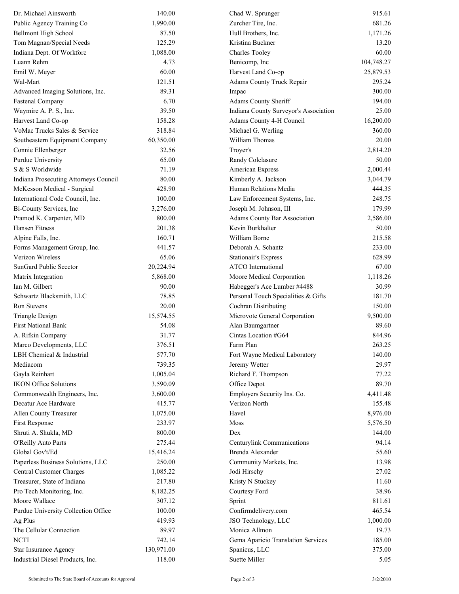| Dr. Michael Ainsworth                 | 140.00     | Chad W. Sprunger                      | 915.61     |
|---------------------------------------|------------|---------------------------------------|------------|
| Public Agency Training Co             | 1,990.00   | Zurcher Tire, Inc.                    | 681.26     |
| <b>Bellmont High School</b>           | 87.50      | Hull Brothers, Inc.                   | 1,171.26   |
| Tom Magnan/Special Needs              | 125.29     | Kristina Buckner                      | 13.20      |
| Indiana Dept. Of Workforc             | 1,088.00   | <b>Charles Tooley</b>                 | 60.00      |
| Luann Rehm                            | 4.73       | Benicomp, Inc                         | 104,748.27 |
| Emil W. Meyer                         | 60.00      | Harvest Land Co-op                    | 25,879.53  |
| Wal-Mart                              | 121.51     | Adams County Truck Repair             | 295.24     |
| Advanced Imaging Solutions, Inc.      | 89.31      | Impac                                 | 300.00     |
| <b>Fastenal Company</b>               | 6.70       | Adams County Sheriff                  | 194.00     |
| Waymire A. P. S., Inc.                | 39.50      | Indiana County Surveyor's Association | 25.00      |
| Harvest Land Co-op                    | 158.28     | Adams County 4-H Council              | 16,200.00  |
| VoMac Trucks Sales & Service          | 318.84     | Michael G. Werling                    | 360.00     |
| Southeastern Equipment Company        | 60,350.00  | William Thomas                        | 20.00      |
| Connie Ellenberger                    | 32.56      | Troyer's                              | 2,814.20   |
| Purdue University                     | 65.00      | Randy Colclasure                      | 50.00      |
| S & S Worldwide                       | 71.19      | American Express                      | 2,000.44   |
| Indiana Prosecuting Attorneys Council | 80.00      | Kimberly A. Jackson                   | 3,044.79   |
| McKesson Medical - Surgical           | 428.90     | Human Relations Media                 | 444.35     |
| International Code Council, Inc.      | 100.00     | Law Enforcement Systems, Inc.         | 248.75     |
| Bi-County Services, Inc               | 3,276.00   | Joseph M. Johnson, III                | 179.99     |
| Pramod K. Carpenter, MD               | 800.00     | <b>Adams County Bar Association</b>   | 2,586.00   |
| Hansen Fitness                        | 201.38     | Kevin Burkhalter                      | 50.00      |
| Alpine Falls, Inc.                    | 160.71     | William Borne                         | 215.58     |
| Forms Management Group, Inc.          | 441.57     | Deborah A. Schantz                    | 233.00     |
| Verizon Wireless                      | 65.06      | <b>Stationair's Express</b>           | 628.99     |
| SunGard Public Secctor                | 20,224.94  | <b>ATCO</b> International             | 67.00      |
| Matrix Integration                    | 5,868.00   | Moore Medical Corporation             | 1,118.26   |
| Ian M. Gilbert                        | 90.00      | Habegger's Ace Lumber #4488           | 30.99      |
| Schwartz Blacksmith, LLC              | 78.85      | Personal Touch Specialities & Gifts   | 181.70     |
| <b>Ron Stevens</b>                    | 20.00      | Cochran Distributing                  | 150.00     |
| <b>Triangle Design</b>                | 15,574.55  | Microvote General Corporation         | 9,500.00   |
| <b>First National Bank</b>            | 54.08      | Alan Baumgartner                      | 89.60      |
| A. Rifkin Company                     | 31.77      | Cintas Location #G64                  | 844.96     |
| Marco Developments, LLC               | 376.51     | Farm Plan                             | 263.25     |
| LBH Chemical & Industrial             | 577.70     | Fort Wayne Medical Laboratory         | 140.00     |
| Mediacom                              | 739.35     | Jeremy Wetter                         | 29.97      |
| Gayla Reinhart                        | 1,005.04   | Richard F. Thompson                   | 77.22      |
| <b>IKON Office Solutions</b>          | 3,590.09   | Office Depot                          | 89.70      |
| Commonwealth Engineers, Inc.          | 3,600.00   | Employers Security Ins. Co.           | 4,411.48   |
| Decatur Ace Hardware                  | 415.77     | Verizon North                         | 155.48     |
| Allen County Treasurer                | 1,075.00   | Havel                                 | 8,976.00   |
| First Response                        | 233.97     | Moss                                  | 5,576.50   |
| Shruti A. Shukla, MD                  | 800.00     | Dex                                   | 144.00     |
| O'Reilly Auto Parts                   | 275.44     | Centurylink Communications            | 94.14      |
| Global Gov't/Ed                       | 15,416.24  | Brenda Alexander                      | 55.60      |
| Paperless Business Solutions, LLC     | 250.00     | Community Markets, Inc.               | 13.98      |
| <b>Central Customer Charges</b>       | 1,085.22   | Jodi Hirschy                          | 27.02      |
| Treasurer, State of Indiana           | 217.80     | Kristy N Stuckey                      | 11.60      |
| Pro Tech Monitoring, Inc.             | 8,182.25   | Courtesy Ford                         | 38.96      |
| Moore Wallace                         | 307.12     | Sprint                                | 811.61     |
| Purdue University Collection Office   | 100.00     | Confirmdelivery.com                   | 465.54     |
| Ag Plus                               | 419.93     | JSO Technology, LLC                   | 1,000.00   |
| The Cellular Connection               | 89.97      | Monica Allmon                         | 19.73      |
| <b>NCTI</b>                           | 742.14     | Gema Aparicio Translation Services    | 185.00     |
| Star Insurance Agency                 | 130,971.00 | Spanicus, LLC                         | 375.00     |
| Industrial Diesel Products, Inc.      | 118.00     | Suette Miller                         | 5.05       |